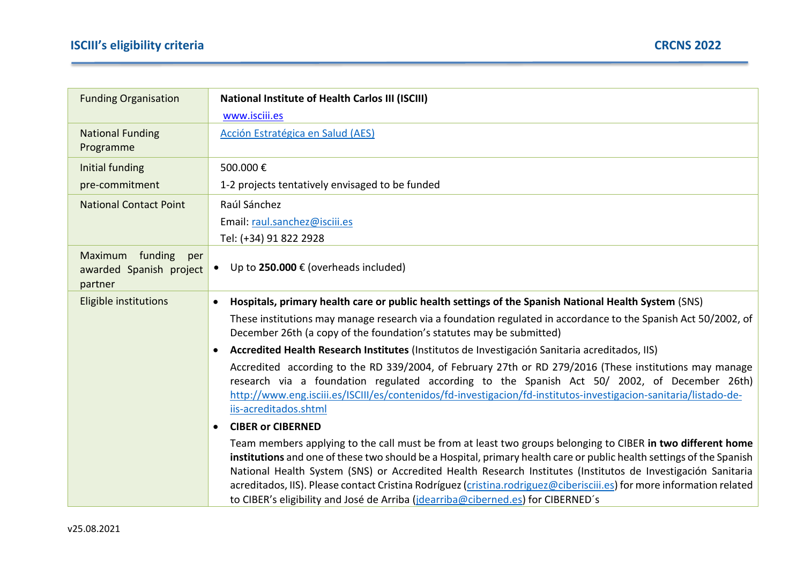| <b>Funding Organisation</b>                                     | <b>National Institute of Health Carlos III (ISCIII)</b>                                                                                                                                                                                                                                                                                                                                                                                                                                                                                                          |
|-----------------------------------------------------------------|------------------------------------------------------------------------------------------------------------------------------------------------------------------------------------------------------------------------------------------------------------------------------------------------------------------------------------------------------------------------------------------------------------------------------------------------------------------------------------------------------------------------------------------------------------------|
|                                                                 | www.isciii.es                                                                                                                                                                                                                                                                                                                                                                                                                                                                                                                                                    |
| <b>National Funding</b><br>Programme                            | Acción Estratégica en Salud (AES)                                                                                                                                                                                                                                                                                                                                                                                                                                                                                                                                |
| Initial funding                                                 | 500.000€                                                                                                                                                                                                                                                                                                                                                                                                                                                                                                                                                         |
| pre-commitment                                                  | 1-2 projects tentatively envisaged to be funded                                                                                                                                                                                                                                                                                                                                                                                                                                                                                                                  |
| <b>National Contact Point</b>                                   | Raúl Sánchez                                                                                                                                                                                                                                                                                                                                                                                                                                                                                                                                                     |
|                                                                 | Email: raul.sanchez@isciii.es                                                                                                                                                                                                                                                                                                                                                                                                                                                                                                                                    |
|                                                                 | Tel: (+34) 91 822 2928                                                                                                                                                                                                                                                                                                                                                                                                                                                                                                                                           |
| funding<br>Maximum<br>per<br>awarded Spanish project<br>partner | Up to 250.000 $\epsilon$ (overheads included)                                                                                                                                                                                                                                                                                                                                                                                                                                                                                                                    |
| Eligible institutions                                           | Hospitals, primary health care or public health settings of the Spanish National Health System (SNS)<br>$\bullet$                                                                                                                                                                                                                                                                                                                                                                                                                                                |
|                                                                 | These institutions may manage research via a foundation regulated in accordance to the Spanish Act 50/2002, of<br>December 26th (a copy of the foundation's statutes may be submitted)                                                                                                                                                                                                                                                                                                                                                                           |
|                                                                 | Accredited Health Research Institutes (Institutos de Investigación Sanitaria acreditados, IIS)<br>$\bullet$                                                                                                                                                                                                                                                                                                                                                                                                                                                      |
|                                                                 | Accredited according to the RD 339/2004, of February 27th or RD 279/2016 (These institutions may manage<br>research via a foundation regulated according to the Spanish Act 50/ 2002, of December 26th)<br>http://www.eng.isciii.es/ISCIII/es/contenidos/fd-investigacion/fd-institutos-investigacion-sanitaria/listado-de-<br>iis-acreditados.shtml                                                                                                                                                                                                             |
|                                                                 | <b>CIBER or CIBERNED</b><br>$\bullet$                                                                                                                                                                                                                                                                                                                                                                                                                                                                                                                            |
|                                                                 | Team members applying to the call must be from at least two groups belonging to CIBER in two different home<br>institutions and one of these two should be a Hospital, primary health care or public health settings of the Spanish<br>National Health System (SNS) or Accredited Health Research Institutes (Institutos de Investigación Sanitaria<br>acreditados, IIS). Please contact Cristina Rodríguez (cristina.rodriguez@ciberisciii.es) for more information related<br>to CIBER's eligibility and José de Arriba (jdearriba@ciberned.es) for CIBERNED's |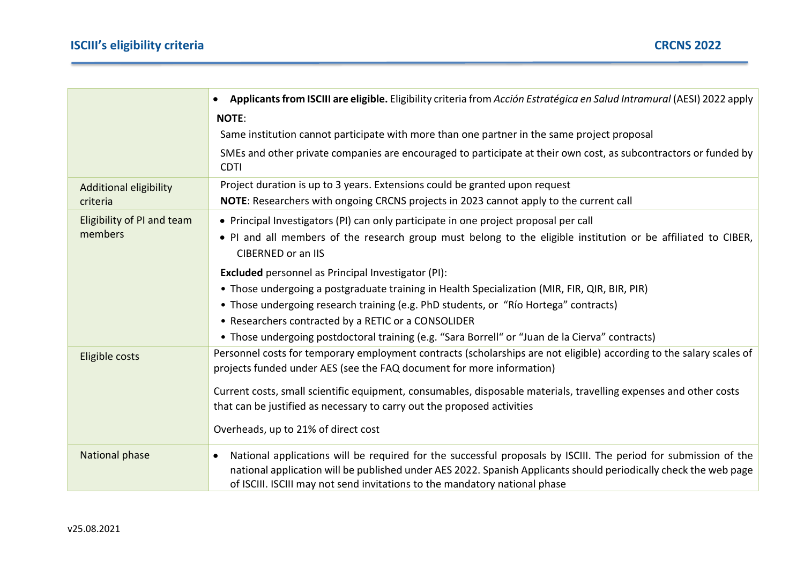|                                           | Applicants from ISCIII are eligible. Eligibility criteria from Acción Estratégica en Salud Intramural (AESI) 2022 apply<br>$\bullet$                                                                                                                                                                              |
|-------------------------------------------|-------------------------------------------------------------------------------------------------------------------------------------------------------------------------------------------------------------------------------------------------------------------------------------------------------------------|
|                                           | <b>NOTE:</b>                                                                                                                                                                                                                                                                                                      |
|                                           | Same institution cannot participate with more than one partner in the same project proposal                                                                                                                                                                                                                       |
|                                           | SMEs and other private companies are encouraged to participate at their own cost, as subcontractors or funded by<br><b>CDTI</b>                                                                                                                                                                                   |
| <b>Additional eligibility</b><br>criteria | Project duration is up to 3 years. Extensions could be granted upon request                                                                                                                                                                                                                                       |
|                                           | NOTE: Researchers with ongoing CRCNS projects in 2023 cannot apply to the current call                                                                                                                                                                                                                            |
| Eligibility of PI and team                | • Principal Investigators (PI) can only participate in one project proposal per call                                                                                                                                                                                                                              |
| members                                   | . PI and all members of the research group must belong to the eligible institution or be affiliated to CIBER,<br><b>CIBERNED or an IIS</b>                                                                                                                                                                        |
|                                           | <b>Excluded</b> personnel as Principal Investigator (PI):                                                                                                                                                                                                                                                         |
|                                           | • Those undergoing a postgraduate training in Health Specialization (MIR, FIR, QIR, BIR, PIR)                                                                                                                                                                                                                     |
|                                           | • Those undergoing research training (e.g. PhD students, or "Río Hortega" contracts)                                                                                                                                                                                                                              |
|                                           | • Researchers contracted by a RETIC or a CONSOLIDER                                                                                                                                                                                                                                                               |
|                                           | • Those undergoing postdoctoral training (e.g. "Sara Borrell" or "Juan de la Cierva" contracts)                                                                                                                                                                                                                   |
| Eligible costs                            | Personnel costs for temporary employment contracts (scholarships are not eligible) according to the salary scales of<br>projects funded under AES (see the FAQ document for more information)                                                                                                                     |
|                                           | Current costs, small scientific equipment, consumables, disposable materials, travelling expenses and other costs                                                                                                                                                                                                 |
|                                           | that can be justified as necessary to carry out the proposed activities                                                                                                                                                                                                                                           |
|                                           | Overheads, up to 21% of direct cost                                                                                                                                                                                                                                                                               |
| National phase                            | National applications will be required for the successful proposals by ISCIII. The period for submission of the<br>national application will be published under AES 2022. Spanish Applicants should periodically check the web page<br>of ISCIII. ISCIII may not send invitations to the mandatory national phase |